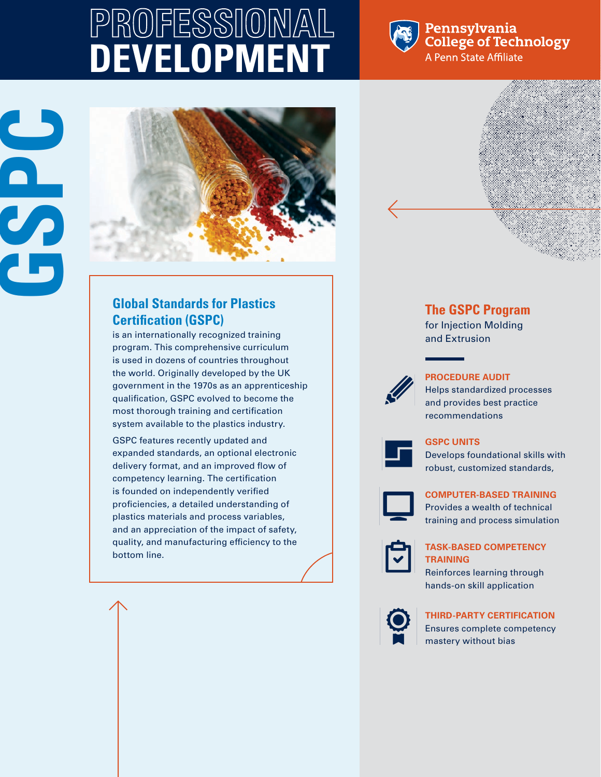# **PROFESSIONAL DEVELOPMENT**



Pennsylvania **College of Technology** A Penn State Affiliate





# **Global Standards for Plastics Certification (GSPC)**

is an internationally recognized training program. This comprehensive curriculum is used in dozens of countries throughout the world. Originally developed by the UK government in the 1970s as an apprenticeship qualification, GSPC evolved to become the most thorough training and certification system available to the plastics industry.

GSPC features recently updated and expanded standards, an optional electronic delivery format, and an improved flow of competency learning. The certification is founded on independently verified proficiencies, a detailed understanding of plastics materials and process variables, and an appreciation of the impact of safety, quality, and manufacturing efficiency to the bottom line.



for Injection Molding and Extrusion



#### **PROCEDURE AUDIT**

Helps standardized processes and provides best practice recommendations



#### **GSPC UNITS**

Develops foundational skills with robust, customized standards,



#### **COMPUTER-BASED TRAINING**

Provides a wealth of technical training and process simulation



#### **TASK-BASED COMPETENCY TRAINING**

Reinforces learning through hands-on skill application



## **THIRD-PARTY CERTIFICATION**

Ensures complete competency mastery without bias